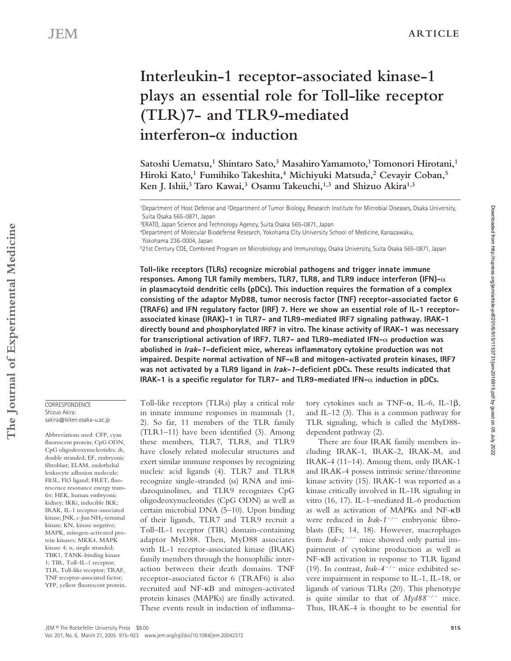# **Interleukin-1 receptor-associated kinase-1 plays an essential role for Toll-like receptor (TLR)7- and TLR9-mediated**   $interferon- $\alpha$  induction$

Satoshi Uematsu,<sup>1</sup> Shintaro Sato,<sup>3</sup> Masahiro Yamamoto,<sup>1</sup> Tomonori Hirotani,<sup>1</sup> **Hiroki Kato,1 Fumihiko Takeshita,4 Michiyuki Matsuda,2 Cevayir Coban,5 Ken J. Ishii,3 Taro Kawai,3 Osamu Takeuchi,1,3 and Shizuo Akira1,3**

3ERATO, Japan Science and Technology Agency, Suita Osaka 565-0871, Japan

4Department of Molecular Biodefense Research, Yokohama City University School of Medicine, Kanazawaku, Yokohama 236-0004, Japan

521st Century COE, Combined Program on Microbiology and Immunology, Osaka University, Suita Osaka 565-0871, Japan

**Toll-like receptors (TLRs) recognize microbial pathogens and trigger innate immune**  responses. Among TLR family members, TLR7, TLR8, and TLR9 induce interferon (IFN) $-\alpha$ **in plasmacytoid dendritic cells (pDCs). This induction requires the formation of a complex consisting of the adaptor MyD88, tumor necrosis factor (TNF) receptor-associated factor 6 (TRAF6) and IFN regulatory factor (IRF) 7. Here we show an essential role of IL-1 receptorassociated kinase (IRAK)-1 in TLR7- and TLR9-mediated IRF7 signaling pathway. IRAK-1 directly bound and phosphorylated IRF7 in vitro. The kinase activity of IRAK-1 was necessary for transcriptional activation of IRF7. TLR7- and TLR9-mediated IFN- production was abolished in Irak-1–deficient mice, whereas inflammatory cytokine production was not impaired. Despite normal activation of NF-**-**B and mitogen-activated protein kinases, IRF7 was not activated by a TLR9 ligand in Irak-1–deficient pDCs. These results indicated that IRAK-1** is a specific regulator for TLR7- and TLR9-mediated IFN- $\alpha$  induction in pDCs.

#### **CORRESPONDENCE** Shizuo Akira: sakira@biken.osaka-u.ac.jp

**The Journal of Experimental Medicine**

The Journal of Experimental Medicine

Abbreviations used: CFP, cyan fluorescent protein; CpG ODN, CpG oligodeoxynucleotides; ds, double stranded; EF, embryonic fibroblast; ELAM, endothelial leukocyte adhesion molecule; Flt3L, Flt3 ligand; FRET, fluorescence resonance energy transfer; HEK, human embryonic kidney; IKK*i*, inducible IKK; IRAK, IL-1 receptor-associated kinase; JNK, c-Jun NH<sub>2</sub>-terminal kinase; KN, kinase negative; MAPK, mitogen-activated protein kinases; MKK4, MAPK kinase 4; ss, single stranded; TBK1, TANK-binding kinase 1; TIR, Toll–IL-1 receptor; TLR, Toll-like receptor; TRAF, TNF receptor-associated factor; YFP, yellow fluorescent protein.

Toll-like receptors (TLRs) play a critical role in innate immune responses in mammals (1, 2). So far, 11 members of the TLR family (TLR1–11) have been identified (3). Among these members, TLR7, TLR8, and TLR9 have closely related molecular structures and exert similar immune responses by recognizing nucleic acid ligands (4). TLR7 and TLR8 recognize single-stranded (ss) RNA and imidazoquinolines, and TLR9 recognizes CpG oligodeoxynucleotides (CpG ODN) as well as certain microbial DNA (5–10). Upon binding of their ligands, TLR7 and TLR9 recruit a Toll–IL-1 receptor (TIR) domain-containing adaptor MyD88. Then, MyD88 associates with IL-1 receptor-associated kinase (IRAK) family members through the homophilic interaction between their death domains. TNF receptor-associated factor 6 (TRAF6) is also recruited and NF-KB and mitogen-activated protein kinases (MAPKs) are finally activated. These events result in induction of inflammatory cytokines such as TNF- $\alpha$ , IL-6, IL-1 $\beta$ , and IL-12 (3). This is a common pathway for TLR signaling, which is called the MyD88 dependent pathway (2).

There are four IRAK family members including IRAK-1, IRAK-2, IRAK-M, and IRAK-4 (11–14). Among them, only IRAK-1 and IRAK-4 possess intrinsic serine/threonine kinase activity (15). IRAK-1 was reported as a kinase critically involved in IL-1R signaling in vitro (16, 17). IL-1–mediated IL-6 production as well as activation of MAPKs and NF-KB were reduced in *Irak-1<sup>-/-</sup>* embryonic fibroblasts (EFs; 14, 18). However, macrophages from *Irak-1/* mice showed only partial impairment of cytokine production as well as NF-KB activation in response to TLR ligand (19). In contrast, *Irak-4<sup>-/-</sup>* mice exhibited severe impairment in response to IL-1, IL-18, or ligands of various TLRs (20). This phenotype is quite similar to that of  $Myd88^{-/-}$  mice. Thus, IRAK-4 is thought to be essential for

<sup>1</sup>Department of Host Defense and 2Department of Tumor Biology, Research Institute for Microbial Diseases, Osaka University, Suita Osaka 565-0871, Japan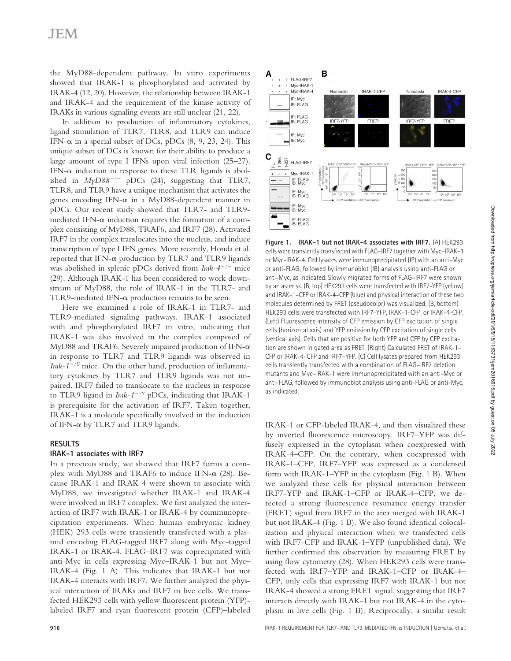## JEM

the MyD88-dependent pathway. In vitro experiments showed that IRAK-1 is phosphorylated and activated by IRAK-4 (12, 20). However, the relationship between IRAK-1 and IRAK-4 and the requirement of the kinase activity of IRAKs in various signaling events are still unclear (21, 22).

In addition to production of inflammatory cytokines, ligand stimulation of TLR7, TLR8, and TLR9 can induce IFN- $\alpha$  in a special subset of DCs, pDCs (8, 9, 23, 24). This unique subset of DCs is known for their ability to produce a large amount of type I IFNs upon viral infection (25–27). IFN- $\alpha$  induction in response to these TLR ligands is abolished in  $MyD88^{-/-}$  pDCs (24), suggesting that TLR7, TLR8, and TLR9 have a unique mechanism that activates the genes encoding IFN- $\alpha$  in a MyD88-dependent manner in pDCs. Our recent study showed that TLR7- and TLR9 mediated IFN- $\alpha$  induction requires the formation of a complex consisting of MyD88, TRAF6, and IRF7 (28). Activated IRF7 in the complex translocates into the nucleus, and induce transcription of type I IFN genes. More recently, Honda et al. reported that IFN- $\alpha$  production by TLR7 and TLR9 ligands was abolished in splenic pDCs derived from *Irak-4<sup>-/-</sup>* mice (29). Although IRAK-1 has been considered to work downstream of MyD88, the role of IRAK-1 in the TLR7- and TLR9-mediated IFN- $\alpha$  production remains to be seen.

Here we examined a role of IRAK-1 in TLR7- and TLR9-mediated signaling pathways. IRAK-1 associated with and phosphorylated IRF7 in vitro, indicating that IRAK-1 was also involved in the complex composed of MyD88 and TRAF6. Severely impaired production of IFN- $\alpha$ in response to TLR7 and TLR9 ligands was observed in *Irak-1<sup>-/Y</sup>* mice. On the other hand, production of inflammatory cytokines by TLR7 and TLR9 ligands was not impaired. IRF7 failed to translocate to the nucleus in response to TLR9 ligand in *Irak-1/Y* pDCs, indicating that IRAK-1 is prerequisite for the activation of IRF7. Taken together, IRAK-1 is a molecule specifically involved in the induction of IFN- $\alpha$  by TLR7 and TLR9 ligands.

## **RESULTS**

## **IRAK-1 associates with IRF7**

In a previous study, we showed that IRF7 forms a complex with MyD88 and TRAF6 to induce IFN- $\alpha$  (28). Because IRAK-1 and IRAK-4 were shown to associate with MyD88, we investigated whether IRAK-1 and IRAK-4 were involved in IRF7 complex. We first analyzed the interaction of IRF7 with IRAK-1 or IRAK-4 by coimmunoprecipitation experiments. When human embryonic kidney (HEK) 293 cells were transiently transfected with a plasmid encoding FLAG-tagged IRF7 along with Myc-tagged IRAK-1 or IRAK-4, FLAG–IRF7 was coprecipitated with anti-Myc in cells expressing Myc–IRAK-1 but not Myc– IRAK-4 (Fig. 1 A). This indicates that IRAK-1 but not IRAK-4 interacts with IRF7. We further analyzed the physical interaction of IRAKs and IRF7 in live cells. We transfected HEK293 cells with yellow fluorescent protein (YFP) labeled IRF7 and cyan fluorescent protein (CFP)–labeled



**Figure 1. IRAK-1 but not IRAK-4 associates with IRF7.** (A) HEK293 cells were transiently transfected with FLAG–IRF7 together with Myc–IRAK–1 or Myc-IRAK-4. Cell lysates were immunoprecipitated (IP) with an anti-Myc or anti-FLAG, followed by immunoblot (IB) analysis using anti-FLAG or anti-Myc, as indicated. Slowly migrated forms of FLAG–IRF7 were shown by an asterisk. (B, top) HEK293 cells were transfected with IRF7-YFP (yellow) and IRAK-1–CFP or IRAK-4–CFP (blue) and physical interaction of these two molecules determined by FRET (pseudocolor) was visualized. (B, bottom) HEK293 cells were transfected with IRF7-YFP, IRAK-1-CFP, or IRAK-4-CFP. (Left) Fluorescence intensity of CFP emission by CFP excitation of single cells (horizontal axis) and YFP emission by CFP excitation of single cells (vertical axis). Cells that are positive for both YFP and CFP by CFP excitation are shown in gated area as FRET. (Right) Calculated FRET of IRAK-1– CFP or IRAK-4–CFP and IRF7–YFP. (C) Cell lysates prepared from HEK293 cells transiently transfected with a combination of FLAG–IRF7 deletion mutants and Myc–IRAK-1 were immunoprecipitated with an anti-Myc or anti-FLAG, followed by immunoblot analysis using anti-FLAG or anti-Myc, as indicated.

IRAK-1 or CFP-labeled IRAK-4, and then visualized these by inverted fluorescence microscopy. IRF7–YFP was diffusely expressed in the cytoplasm when coexpressed with IRAK-4–CFP. On the contrary, when coexpressed with IRAK-1–CFP, IRF7–YFP was expressed as a condensed form with IRAK-1–YFP in the cytoplasm (Fig. 1 B). When we analyzed these cells for physical interaction between IRF7-YFP and IRAK-1–CFP or IRAK-4–CFP, we detected a strong fluorescence resonance energy transfer (FRET) signal from IRF7 in the area merged with IRAK-1 but not IRAK-4 (Fig. 1 B). We also found identical colocalization and physical interaction when we transfected cells with IRF7-CFP and IRAK-1–YFP (unpublished data). We further confirmed this observation by measuring FRET by using flow cytometry (28). When HEK293 cells were transfected with IRF7–YFP and IRAK-1–CFP or IRAK-4– CFP, only cells that expressing IRF7 with IRAK-1 but not IRAK-4 showed a strong FRET signal, suggesting that IRF7 interacts directly with IRAK-1 but not IRAK-4 in the cytoplasm in live cells (Fig. 1 B). Reciprocally, a similar result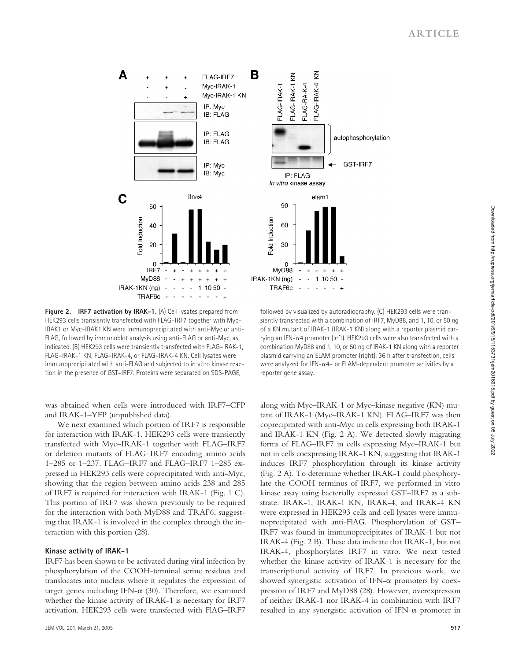

**Figure 2. IRF7 activation by IRAK-1.** (A) Cell lysates prepared from HEK293 cells transiently transfected with FLAG–IRF7 together with Myc– IRAK1 or Myc–IRAK1 KN were immunoprecipitated with anti-Myc or anti-FLAG, followed by immunoblot analysis using anti-FLAG or anti-Myc, as indicated. (B) HEK293 cells were transiently transfected with FLAG–IRAK-1, FLAG–IRAK-1 KN, FLAG–IRAK-4, or FLAG–IRAK-4 KN. Cell lysates were immunoprecipitated with anti-FLAG and subjected to in vitro kinase reaction in the presence of GST–IRF7. Proteins were separated on SDS-PAGE,

was obtained when cells were introduced with IRF7–CFP and IRAK-1–YFP (unpublished data).

We next examined which portion of IRF7 is responsible for interaction with IRAK-1. HEK293 cells were transiently transfected with Myc–IRAK-1 together with FLAG–IRF7 or deletion mutants of FLAG–IRF7 encoding amino acids 1–285 or 1–237. FLAG–IRF7 and FLAG–IRF7 1–285 expressed in HEK293 cells were coprecipitated with anti-Myc, showing that the region between amino acids 238 and 285 of IRF7 is required for interaction with IRAK-1 (Fig. 1 C). This portion of IRF7 was shown previously to be required for the interaction with both MyD88 and TRAF6, suggesting that IRAK-1 is involved in the complex through the interaction with this portion (28).

#### **Kinase activity of IRAK-1**

IRF7 has been shown to be activated during viral infection by phosphorylation of the COOH-terminal serine residues and translocates into nucleus where it regulates the expression of target genes including IFN- $\alpha$  (30). Therefore, we examined whether the kinase activity of IRAK-1 is necessary for IRF7 activation. HEK293 cells were transfected with FlAG–IRF7

followed by visualized by autoradiography. (C) HEK293 cells were transiently transfected with a combination of IRF7, MyD88, and 1, 10, or 50 ng of a KN mutant of IRAK-1 (IRAK-1 KN) along with a reporter plasmid carrying an IFN- $\alpha$ 4 promoter (left). HEK293 cells were also transfected with a combination MyD88 and 1, 10, or 50 ng of IRAK-1 KN along with a reporter plasmid carrying an ELAM promoter (right). 36 h after transfection, cells were analyzed for IFN- $\alpha$ 4- or ELAM-dependent promoter activities by a reporter gene assay.

along with Myc–IRAK-1 or Myc–kinase negative (KN) mutant of IRAK-1 (Myc–IRAK-1 KN). FLAG–IRF7 was then coprecipitated with anti-Myc in cells expressing both IRAK-1 and IRAK-1 KN (Fig. 2 A). We detected slowly migrating forms of FLAG–IRF7 in cells expressing Myc–IRAK-1 but not in cells coexpressing IRAK-1 KN, suggesting that IRAK-1 induces IRF7 phosphorylation through its kinase activity (Fig. 2 A). To determine whether IRAK-1 could phosphorylate the COOH terminus of IRF7, we performed in vitro kinase assay using bacterially expressed GST–IRF7 as a substrate. IRAK-1, IRAK-1 KN, IRAK-4, and IRAK-4 KN were expressed in HEK293 cells and cell lysates were immunoprecipitated with anti-FlAG. Phosphorylation of GST– IRF7 was found in immunoprecipitates of IRAK-1 but not IRAK-4 (Fig. 2 B). These data indicate that IRAK-1, but not IRAK-4, phosphorylates IRF7 in vitro. We next tested whether the kinase activity of IRAK-1 is necessary for the transcriptional activity of IRF7. In previous work, we showed synergistic activation of IFN- $\alpha$  promoters by coexpression of IRF7 and MyD88 (28). However, overexpression of neither IRAK-1 nor IRAK-4 in combination with IRF7 resulted in any synergistic activation of IFN- $\alpha$  promoter in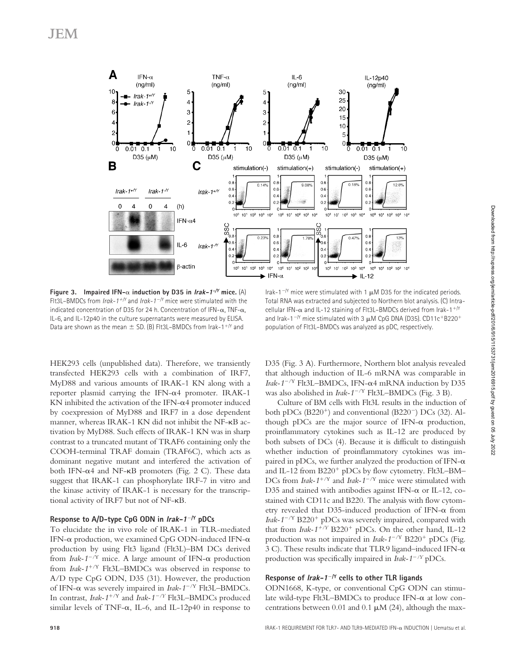

**Figure 3.** Impaired IFN- $\alpha$  induction by D35 in *Irak-1<sup>-/Y</sup>* mice. (A) Flt3L–BMDCs from *Irak-1/Y* and *Irak-1/Y* mice were stimulated with the indicated concentration of D35 for 24 h. Concentration of IFN- $\alpha$ , TNF- $\alpha$ , IL-6, and IL-12p40 in the culture supernatants were measured by ELISA. Data are shown as the mean  $\pm$  SD. (B) FIt3L–BMDCs from Irak-1<sup>+/Y</sup> and

Irak-1<sup>- $N$ </sup> mice were stimulated with 1  $\mu$ M D35 for the indicated periods. Total RNA was extracted and subjected to Northern blot analysis. (C) Intracellular IFN- $\alpha$  and IL-12 staining of FIt3L–BMDCs derived from Irak-1<sup>+/Y</sup> and Irak-1<sup>-/Y</sup> mice stimulated with 3  $\mu$ M CpG DNA (D35). CD11c<sup>+</sup>B220<sup>+</sup> population of Flt3L–BMDCs was analyzed as pDC, respectively.

HEK293 cells (unpublished data). Therefore, we transiently transfected HEK293 cells with a combination of IRF7, MyD88 and various amounts of IRAK-1 KN along with a reporter plasmid carrying the IFN- $\alpha$ 4 promoter. IRAK-1 KN inhibited the activation of the IFN- $\alpha$ 4 promoter induced by coexpression of MyD88 and IRF7 in a dose dependent manner, whereas IRAK-1 KN did not inhibit the NF-KB activation by MyD88. Such effects of IRAK-1 KN was in sharp contrast to a truncated mutant of TRAF6 containing only the COOH-terminal TRAF domain (TRAF6C), which acts as dominant negative mutant and interfered the activation of both IFN- $\alpha$ 4 and NF- $\kappa$ B promoters (Fig. 2 C). These data suggest that IRAK-1 can phosphorylate IRF-7 in vitro and the kinase activity of IRAK-1 is necessary for the transcriptional activity of IRF7 but not of NF-KB.

### **Response to A/D-type CpG ODN in Irak-1/Y pDCs**

To elucidate the in vivo role of IRAK-1 in TLR-mediated IFN- $\alpha$  production, we examined CpG ODN-induced IFN- $\alpha$ production by using Flt3 ligand (Flt3L)–BM DCs derived from *Irak-1<sup>-/Y</sup>* mice. A large amount of IFN- $\alpha$  production from *Irak-1<sup>+/Y</sup>* Flt3L–BMDCs was observed in response to A/D type CpG ODN, D35 (31). However, the production of IFN-α was severely impaired in *Irak-1<sup>-/Y</sup>* Flt3L-BMDCs. In contrast, *Irak-1<sup>+/Y</sup>* and *Irak-1<sup>-/Y</sup>* Flt3L–BMDCs produced similar levels of TNF- $\alpha$ , IL-6, and IL-12p40 in response to D35 (Fig. 3 A). Furthermore, Northern blot analysis revealed that although induction of IL-6 mRNA was comparable in *Irak-1<sup>-/Y</sup>* Flt3L–BMDCs, IFN- $\alpha$ 4 mRNA induction by D35 was also abolished in *Irak-1<sup>-/Y</sup>* Flt3L–BMDCs (Fig. 3 B).

Culture of BM cells with Flt3L results in the induction of both pDCs (B220<sup>+</sup>) and conventional (B220<sup>-</sup>) DCs (32). Although pDCs are the major source of IFN- $\alpha$  production, proinflammatory cytokines such as IL-12 are produced by both subsets of DCs (4). Because it is difficult to distinguish whether induction of proinflammatory cytokines was impaired in pDCs, we further analyzed the production of IFN- $\alpha$ and IL-12 from  $B220^+$  pDCs by flow cytometry. Flt3L-BM-DCs from *Irak-1<sup>+/Y</sup>* and *Irak-1<sup>-/Y</sup>* mice were stimulated with D35 and stained with antibodies against IFN- $\alpha$  or IL-12, costained with CD11c and B220. The analysis with flow cytometry revealed that D35-induced production of IFN- $\alpha$  from *Irak-1<sup>-/Y</sup>* B220<sup>+</sup> pDCs was severely impaired, compared with that from  $Irak-1^{+/Y}$  B220<sup>+</sup> pDCs. On the other hand, IL-12 production was not impaired in *Irak-1<sup>-/Y</sup>* B220<sup>+</sup> pDCs (Fig. 3 C). These results indicate that TLR9 ligand–induced IFN- $\alpha$ production was specifically impaired in *Irak-1/Y* pDCs.

## **Response of Irak-1/Y cells to other TLR ligands**

ODN1668, K-type, or conventional CpG ODN can stimulate wild-type Flt3L-BMDCs to produce IFN- $\alpha$  at low concentrations between 0.01 and 0.1  $\mu$ M (24), although the max-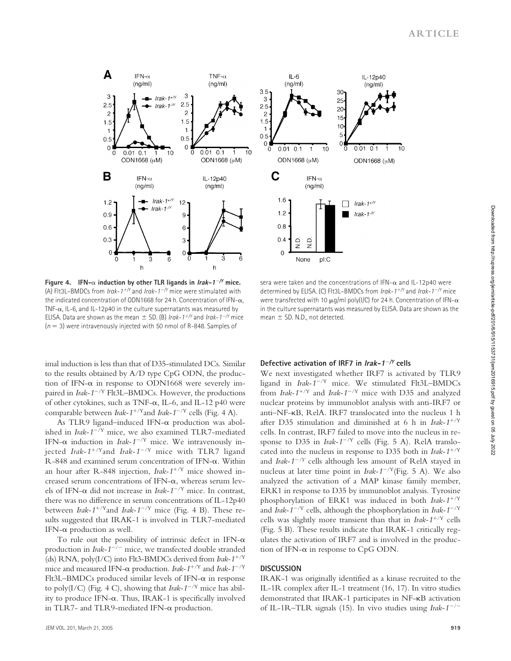

Figure 4. IFN- $\alpha$  induction by other TLR ligands in  $Irak-1<sup>-/-</sup>$  mice. (A) Flt3L–BMDCs from *Irak-1/Y* and *Irak-1/Y* mice were stimulated with the indicated concentration of ODN1668 for 24 h. Concentration of IFN- $\alpha$ , TNF- $\alpha$ , IL-6, and IL-12p40 in the culture supernatants was measured by ELISA. Data are shown as the mean  $\pm$  SD. (B) *Irak-1<sup>+/Y</sup>* and *Irak-1<sup>-/Y</sup>* mice  $(n = 3)$  were intravenously injected with 50 nmol of R-848. Samples of

sera were taken and the concentrations of IFN- $\alpha$  and IL-12p40 were determined by ELISA. (C) Flt3L–BMDCs from *Irak-1/Y* and *Irak-1/Y* mice were transfected with 10  $\mu$ a/ml poly(I/C) for 24 h. Concentration of IFN- $\alpha$ in the culture supernatants was measured by ELISA. Data are shown as the mean  $\pm$  SD. N.D., not detected.

imal induction is less than that of D35-stimulated DCs. Similar to the results obtained by A/D type CpG ODN, the production of IFN- $\alpha$  in response to ODN1668 were severely impaired in *Irak-1<sup>-/Y</sup>* Flt3L–BMDCs. However, the productions of other cytokines, such as TNF- $\alpha$ , IL-6, and IL-12 p40 were comparable between *Irak-1<sup>+/Y</sup>* and *Irak-1<sup>-/Y</sup>* cells (Fig. 4 A).

As TLR9 ligand–induced IFN- $\alpha$  production was abolished in *Irak-1<sup>-/Y</sup>* mice, we also examined TLR7-mediated IFN- $\alpha$  induction in *Irak-1<sup>-/Y</sup>* mice. We intravenously injected *Irak-1<sup>+/Y</sup>*and *Irak-1<sup>-/Y</sup>* mice with TLR7 ligand R-848 and examined serum concentration of IFN- $\alpha$ . Within an hour after R-848 injection, *Irak-1<sup>+/Y</sup>* mice showed increased serum concentrations of IFN- $\alpha$ , whereas serum levels of IFN- $\alpha$  did not increase in *Irak-1<sup>-/Y</sup>* mice. In contrast, there was no difference in serum concentrations of IL-12p40 between *Irak-1<sup>+/Y</sup>*and *Irak-1<sup>-/Y</sup>* mice (Fig. 4 B). These results suggested that IRAK-1 is involved in TLR7-mediated IFN- $\alpha$  production as well.

To rule out the possibility of intrinsic defect in IFN- $\alpha$ production in *Irak-1<sup>-/-</sup>* mice, we transfected double stranded (ds) RNA, poly(I/C) into Flt3-BMDCs derived from *Irak-1<sup>+/Y</sup>* mice and measured IFN- $\alpha$  production. *Irak-1<sup>+/Y</sup>* and *Irak-1<sup>-/Y</sup>* Flt3L-BMDCs produced similar levels of IFN- $\alpha$  in response to poly(I/C) (Fig. 4 C), showing that *Irak-1<sup>-/Y</sup>* mice has ability to produce IFN- $\alpha$ . Thus, IRAK-1 is specifically involved in TLR7- and TLR9-mediated IFN- $\alpha$  production.

## **Defective activation of IRF7 in Irak-1/Y cells**

We next investigated whether IRF7 is activated by TLR9 ligand in *Irak-1<sup>-/Y</sup>* mice. We stimulated Flt3L-BMDCs from *Irak-1<sup>+/Y</sup>* and *Irak-1<sup>-/Y</sup>* mice with D35 and analyzed nuclear proteins by immunoblot analysis with anti-IRF7 or anti–NF-KB, RelA. IRF7 translocated into the nucleus 1 h after D35 stimulation and diminished at 6 h in *Irak-1*/Y cells. In contrast, IRF7 failed to move into the nucleus in response to D35 in  $Irak-1^{-/Y}$  cells (Fig. 5 A). RelA translocated into the nucleus in response to D35 both in *Irak-1*/Y and *Irak-1/Y* cells although less amount of RelA stayed in nucleus at later time point in *Irak-1<sup>-/Y</sup>*(Fig. 5 A). We also analyzed the activation of a MAP kinase family member, ERK1 in response to D35 by immunoblot analysis. Tyrosine phosphorylation of ERK1 was induced in both *Irak-1<sup>+/Y</sup>* and *Irak-1<sup>-/Y</sup>* cells, although the phosphorylation in *Irak-1<sup>-/Y</sup>* cells was slightly more transient than that in *Irak-1*/Y cells (Fig. 5 B). These results indicate that IRAK-1 critically regulates the activation of IRF7 and is involved in the production of IFN- $\alpha$  in response to CpG ODN.

#### **DISCUSSION**

IRAK-1 was originally identified as a kinase recruited to the IL-1R complex after IL-1 treatment (16, 17). In vitro studies demonstrated that IRAK-1 participates in NF-KB activation of IL-1R–TLR signals (15). In vivo studies using *Irak-1/*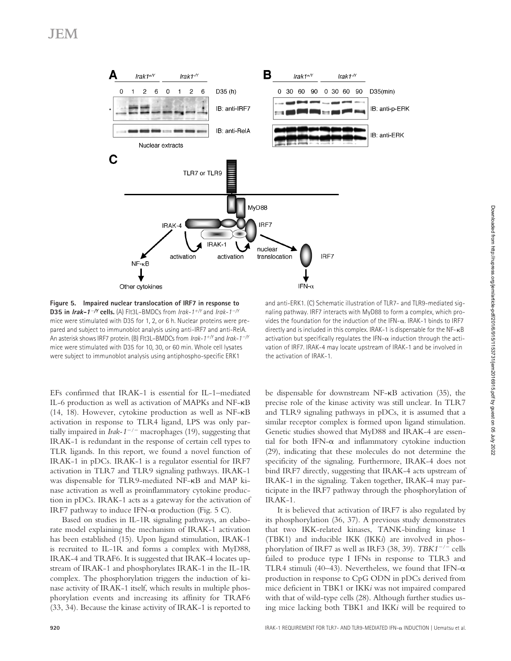

**Figure 5. Impaired nuclear translocation of IRF7 in response to D35 in Irak-1/Y cells.** (A) Flt3L–BMDCs from *Irak-1/Y* and *Irak-1/Y* mice were stimulated with D35 for 1, 2, or 6 h. Nuclear proteins were prepared and subject to immunoblot analysis using anti-IRF7 and anti-RelA. An asterisk shows IRF7 protein. (B) Flt3L–BMDCs from *Irak-1/Y* and *Irak-1/Y* mice were stimulated with D35 for 10, 30, or 60 min. Whole cell lysates were subject to immunoblot analysis using antiphospho-specific ERK1

and anti-ERK1. (C) Schematic illustration of TLR7- and TLR9-mediated signaling pathway. IRF7 interacts with MyD88 to form a complex, which provides the foundation for the induction of the IFN- $\alpha$ . IRAK-1 binds to IRF7 directly and is included in this complex. IRAK-1 is dispensable for the NF- $\kappa$ B activation but specifically regulates the IFN- $\alpha$  induction through the activation of IRF7. IRAK-4 may locate upstream of IRAK-1 and be involved in the activation of IRAK-1.

EFs confirmed that IRAK-1 is essential for IL-1–mediated IL-6 production as well as activation of MAPKs and NF-KB (14, 18). However, cytokine production as well as NF-KB activation in response to TLR4 ligand, LPS was only partially impaired in *Irak-1/* macrophages (19), suggesting that IRAK-1 is redundant in the response of certain cell types to TLR ligands. In this report, we found a novel function of IRAK-1 in pDCs. IRAK-1 is a regulator essential for IRF7 activation in TLR7 and TLR9 signaling pathways. IRAK-1 was dispensable for TLR9-mediated NF-KB and MAP kinase activation as well as proinflammatory cytokine production in pDCs. IRAK-1 acts as a gateway for the activation of IRF7 pathway to induce IFN- $\alpha$  production (Fig. 5 C).

Based on studies in IL-1R signaling pathways, an elaborate model explaining the mechanism of IRAK-1 activation has been established (15). Upon ligand stimulation, IRAK-1 is recruited to IL-1R and forms a complex with MyD88, IRAK-4 and TRAF6. It is suggested that IRAK-4 locates upstream of IRAK-1 and phosphorylates IRAK-1 in the IL-1R complex. The phosphorylation triggers the induction of kinase activity of IRAK-1 itself, which results in multiple phosphorylation events and increasing its affinity for TRAF6 (33, 34). Because the kinase activity of IRAK-1 is reported to be dispensable for downstream NF-KB activation (35), the precise role of the kinase activity was still unclear. In TLR7 and TLR9 signaling pathways in pDCs, it is assumed that a similar receptor complex is formed upon ligand stimulation. Genetic studies showed that MyD88 and IRAK-4 are essential for both IFN- $\alpha$  and inflammatory cytokine induction (29), indicating that these molecules do not determine the specificity of the signaling. Furthermore, IRAK-4 does not bind IRF7 directly, suggesting that IRAK-4 acts upstream of IRAK-1 in the signaling. Taken together, IRAK-4 may participate in the IRF7 pathway through the phosphorylation of IRAK-1.

It is believed that activation of IRF7 is also regulated by its phosphorylation (36, 37). A previous study demonstrates that two IKK-related kinases, TANK-binding kinase 1 (TBK1) and inducible IKK (IKK*i*) are involved in phosphorylation of IRF7 as well as IRF3 (38, 39). *TBK1/* cells failed to produce type I IFNs in response to TLR3 and TLR4 stimuli (40–43). Nevertheless, we found that IFN- $\alpha$ production in response to CpG ODN in pDCs derived from mice deficient in TBK1 or IKK*i* was not impaired compared with that of wild-type cells (28). Although further studies using mice lacking both TBK1 and IKK*i* will be required to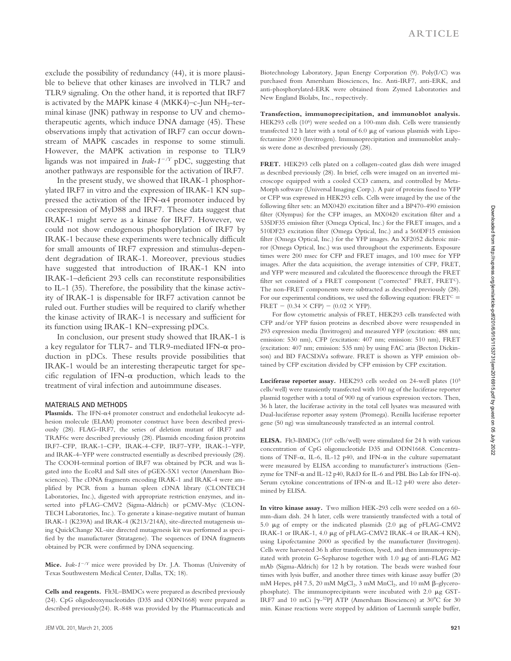exclude the possibility of redundancy (44), it is more plausible to believe that other kinases are involved in TLR7 and TLR9 signaling. On the other hand, it is reported that IRF7 is activated by the MAPK kinase 4 (MKK4)–c-Jun  $NH<sub>2</sub>$ -terminal kinase (JNK) pathway in response to UV and chemotherapeutic agents, which induce DNA damage (45). These observations imply that activation of IRF7 can occur downstream of MAPK cascades in response to some stimuli. However, the MAPK activation in response to TLR9 ligands was not impaired in *Irak-1<sup>-/Y</sup>* pDC, suggesting that another pathways are responsible for the activation of IRF7.

In the present study, we showed that IRAK-1 phosphorylated IRF7 in vitro and the expression of IRAK-1 KN suppressed the activation of the IFN- $\alpha$ 4 promoter induced by coexpression of MyD88 and IRF7. These data suggest that IRAK-1 might serve as a kinase for IRF7. However, we could not show endogenous phosphorylation of IRF7 by IRAK-1 because these experiments were technically difficult for small amounts of IRF7 expression and stimulus-dependent degradation of IRAK-1. Moreover, previous studies have suggested that introduction of IRAK-1 KN into IRAK-1–deficient 293 cells can reconstitute responsibilities to IL-1 (35). Therefore, the possibility that the kinase activity of IRAK-1 is dispensable for IRF7 activation cannot be ruled out. Further studies will be required to clarify whether the kinase activity of IRAK-1 is necessary and sufficient for its function using IRAK-1 KN–expressing pDCs.

In conclusion, our present study showed that IRAK-1 is a key regulator for TLR7- and TLR9-mediated IFN- $\alpha$  production in pDCs. These results provide possibilities that IRAK-1 would be an interesting therapeutic target for specific regulation of IFN- $\alpha$  production, which leads to the treatment of viral infection and autoimmune diseases.

#### **MATERIALS AND METHODS**

Plasmids. The IFN- $\alpha$ 4 promoter construct and endothelial leukocyte adhesion molecule (ELAM) promoter construct have been described previously (28). FLAG–IRF7, the series of deletion mutant of IRF7 and TRAF6c were described previously (28). Plasmids encoding fusion proteins IRF7–CFP, IRAK-1–CFP, IRAK-4–CFP, IRF7–YFP, IRAK-1–YFP, and IRAK-4–YFP were constructed essentially as described previously (28). The COOH-terminal portion of IRF7 was obtained by PCR and was ligated into the EcoRI and SalI sites of pGEX-5X1 vector (Amersham Biosciences). The cDNA fragments encoding IRAK-1 and IRAK-4 were amplified by PCR from a human spleen cDNA library (CLONTECH Laboratories, Inc.), digested with appropriate restriction enzymes, and inserted into pFLAG–CMV2 (Sigma-Aldrich) or pCMV-Myc (CLON-TECH Laboratories, Inc.). To generate a kinase-negative mutant of human IRAK-1 (K239A) and IRAK-4 (K213/214A), site-directed mutagenesis using QuickChange XL-site directed mutagenesis kit was performed as specified by the manufacturer (Stratagene). The sequences of DNA fragments obtained by PCR were confirmed by DNA sequencing.

**Mice.** *Irak-1/Y* mice were provided by Dr. J.A. Thomas (University of Texas Southwestern Medical Center, Dallas, TX; 18).

**Cells and reagents.** Flt3L–BMDCs were prepared as described previously (24). CpG oligodeoxynucleotides (D35 and ODN1668) were prepared as described previously(24). R-848 was provided by the Pharmaceuticals and Biotechnology Laboratory, Japan Energy Corporation (9). Poly(I/C) was purchased from Amersham Biosciences, Inc. Anti-IRF7, anti-ERK, and anti-phosphorylated-ERK were obtained from Zymed Laboratories and New England Biolabs, Inc., respectively.

**Transfection, immunoprecipitation, and immunoblot analysis.** HEK293 cells (10<sup>6</sup>) were seeded on a 100-mm dish. Cells were transiently transfected 12 h later with a total of 6.0  $\mu$ g of various plasmids with Lipofectamine 2000 (Invitrogen). Immunoprecipitation and immunoblot analysis were done as described previously (28).

**FRET.** HEK293 cells plated on a collagen-coated glass dish were imaged as described previously (28). In brief, cells were imaged on an inverted microscope equipped with a cooled CCD camera, and controlled by Meta-Morph software (Universal Imaging Corp.). A pair of proteins fused to YFP or CFP was expressed in HEK293 cells. Cells were imaged by the use of the following filter sets: an MX0420 excitation filter and a BP470-490 emission filter (Olympus) for the CFP images, an MX0420 excitation filter and a 535DF35 emission filter (Omega Optical, Inc.) for the FRET images, and a 510DF23 excitation filter (Omega Optical, Inc.) and a 560DF15 emission filter (Omega Optical, Inc.) for the YFP images. An XF2052 dichroic mirror (Omega Optical, Inc.) was used throughout the experiments. Exposure times were 200 msec for CFP and FRET images, and 100 msec for YFP images. After the data acquisition, the average intensities of CFP, FRET, and YFP were measured and calculated the fluorescence through the FRET filter set consisted of a FRET component ("corrected" FRET, FRET<sup>C</sup>). The non-FRET components were subtracted as described previously (28). For our experimental conditions, we used the following equation:  $FRET<sup>C</sup> =$  $FRET - (0.34 \times CFP) - (0.02 \times YFP)$ .

For flow cytometric analysis of FRET, HEK293 cells transfected with CFP and/or YFP fusion proteins as described above were resuspended in 293 expression media (Invitrogen) and measured YFP (excitation: 488 nm; emission: 530 nm), CFP (excitation: 407 nm; emission: 510 nm), FRET (excitation: 407 nm; emission: 535 nm) by using FAC aria (Becton Dickinson) and BD FACSDiVa software. FRET is shown as YFP emission obtained by CFP excitation divided by CFP emission by CFP excitation.

**Luciferase reporter assay.** HEK293 cells seeded on 24-well plates (105 cells/well) were transiently transfected with 100 ng of the luciferase reporter plasmid together with a total of 900 ng of various expression vectors. Then, 36 h later, the luciferase activity in the total cell lysates was measured with Dual-luciferase reporter assay system (Promega). Renilla luciferase reporter gene (50 ng) was simultaneously transfected as an internal control.

**ELISA.** Flt3-BMDCs (106 cells/well) were stimulated for 24 h with various concentration of CpG oligonucleotide D35 and ODN1668. Concentrations of TNF- $\alpha$ , IL-6, IL-12 p40, and IFN- $\alpha$  in the culture supernatant were measured by ELISA according to manufacturer's instructions (Genzyme for TNF- $\alpha$  and IL-12 p40, R&D for IL-6 and PBL Bio Lab for IFN- $\alpha$ ). Serum cytokine concentrations of IFN- $\alpha$  and IL-12 p40 were also determined by ELISA.

**In vitro kinase assay.** Two million HEK-293 cells were seeded on a 60 mm-diam dish. 24 h later, cells were transiently transfected with a total of 5.0  $\mu$ g of empty or the indicated plasmids (2.0  $\mu$ g of pFLAG-CMV2 IRAK-1 or IRAK-1, 4.0 µg of pFLAG-CMV2 IRAK-4 or IRAK-4 KN), using Lipofectamine 2000 as specified by the manufacturer (Invitrogen). Cells were harvested 36 h after transfection, lysed, and then immunoprecipitated with protein G-Sepharose together with  $1.0 \mu$ g of anti-FLAG M2 mAb (Sigma-Aldrich) for 12 h by rotation. The beads were washed four times with lysis buffer, and another three times with kinase assay buffer (20 mM Hepes, pH 7.5, 20 mM  $MgCl<sub>2</sub>$ , 3 mM  $MnCl<sub>2</sub>$ , and 10 mM  $\beta$ -glycerophosphate). The immunoprecipitants were incubated with  $2.0 \mu g$  GST-IRF7 and 10 mCi  $[\gamma^{-32}P]$  ATP (Amersham Biosciences) at 30°C for 30 min. Kinase reactions were stopped by addition of Laemmli sample buffer,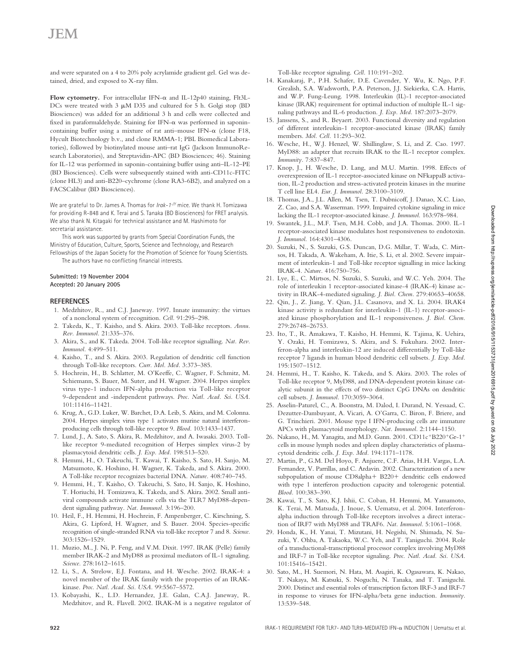## JEM

and were separated on a 4 to 20% poly acrylamide gradient gel. Gel was detained, dried, and exposed to X-ray film.

Flow cytometry. For intracellular IFN- $\alpha$  and IL-12p40 staining, Flt3L-DCs were treated with 3  $\mu$ M D35 and cultured for 5 h. Golgi stop (BD Biosciences) was added for an additional 3 h and cells were collected and fixed in paraformaldehyde. Staining for IFN- $\alpha$  was performed in saponincontaining buffer using a mixture of rat anti-mouse IFN- $\alpha$  (clone F18, Hycult Biotechnology b.v., and clone RMMA-1; PBL Biomedical Laboratories), followed by biotinylated mouse anti–rat IgG (Jackson ImmunoResearch Laboratories), and Streptavidin-APC (BD Biosciences; 46). Staining for IL-12 was performed in saponin-containing buffer using anti–IL-12–PE (BD Biosciences). Cells were subsequently stained with anti-CD11c-FITC (clone HL3) and anti-B220–cychrome (clone RA3-6B2), and analyzed on a FACSCalibur (BD Biosciences).

We are grateful to Dr. James A. Thomas for *Irak-1-/Y* mice. We thank H. Tomizawa for providing R-848 and K. Terai and S. Tanaka (BD Biosciences) for FRET analysis. We also thank N. Kitagaki for technical assistance and M. Hashimoto for secretarial assistance.

This work was supported by grants from Special Coordination Funds, the Ministry of Education, Culture, Sports, Science and Technology, and Research Fellowships of the Japan Society for the Promotion of Science for Young Scientists.

The authors have no conflicting financial interests.

## **Submitted: 19 November 2004**

#### **Accepted: 20 January 2005**

#### **REFERENCES**

- 1. Medzhitov, R., and C.J. Janeway. 1997. Innate immunity: the virtues of a nonclonal system of recognition. *Cell.* 91:295–298.
- 2. Takeda, K., T. Kaisho, and S. Akira. 2003. Toll-like receptors. *Annu. Rev. Immunol.* 21:335–376.
- 3. Akira, S., and K. Takeda. 2004. Toll-like receptor signalling. *Nat. Rev. Immunol.* 4:499–511.
- 4. Kaisho, T., and S. Akira. 2003. Regulation of dendritic cell function through Toll-like receptors. *Curr. Mol. Med.* 3:373–385.
- 5. Hochrein, H., B. Schlatter, M. O'Keeffe, C. Wagner, F. Schmitz, M. Schiemann, S. Bauer, M. Suter, and H. Wagner. 2004. Herpes simplex virus type-1 induces IFN-alpha production via Toll-like receptor 9-dependent and -independent pathways. *Proc. Natl. Acad. Sci. USA.* 101:11416–11421.
- 6. Krug, A., G.D. Luker, W. Barchet, D.A. Leib, S. Akira, and M. Colonna. 2004. Herpes simplex virus type 1 activates murine natural interferonproducing cells through toll-like receptor 9. *Blood.* 103:1433–1437.
- 7. Lund, J., A. Sato, S. Akira, R. Medzhitov, and A. Iwasaki. 2003. Tolllike receptor 9-mediated recognition of Herpes simplex virus-2 by plasmacytoid dendritic cells. *J. Exp. Med.* 198:513–520.
- 8. Hemmi, H., O. Takeuchi, T. Kawai, T. Kaisho, S. Sato, H. Sanjo, M. Matsumoto, K. Hoshino, H. Wagner, K. Takeda, and S. Akira. 2000. A Toll-like receptor recognizes bacterial DNA. *Nature.* 408:740–745.
- 9. Hemmi, H., T. Kaisho, O. Takeuchi, S. Sato, H. Sanjo, K. Hoshino, T. Horiuchi, H. Tomizawa, K. Takeda, and S. Akira. 2002. Small antiviral compounds activate immune cells via the TLR7 MyD88-dependent signaling pathway. *Nat. Immunol.* 3:196–200.
- 10. Heil, F., H. Hemmi, H. Hochrein, F. Ampenberger, C. Kirschning, S. Akira, G. Lipford, H. Wagner, and S. Bauer. 2004. Species-specific recognition of single-stranded RNA via toll-like receptor 7 and 8. *Science.* 303:1526–1529.
- 11. Muzio, M., J. Ni, P. Feng, and V.M. Dixit. 1997. IRAK (Pelle) family member IRAK-2 and MyD88 as proximal mediators of IL-1 signaling. *Science.* 278:1612–1615.
- 12. Li, S., A. Strelow, E.J. Fontana, and H. Wesche. 2002. IRAK-4: a novel member of the IRAK family with the properties of an IRAKkinase. *Proc. Natl. Acad. Sci. USA.* 99:5567–5572.
- 13. Kobayashi, K., L.D. Hernandez, J.E. Galan, C.A.J. Janeway, R. Medzhitov, and R. Flavell. 2002. IRAK-M is a negative regulator of

Toll-like receptor signaling. *Cell.* 110:191–202.

- 14. Kanakaraj, P., P.H. Schafer, D.E. Cavender, Y. Wu, K. Ngo, P.F. Grealish, S.A. Wadsworth, P.A. Peterson, J.J. Siekierka, C.A. Harris, and W.P. Fung-Leung. 1998. Interleukin (IL)-1 receptor-associated kinase (IRAK) requirement for optimal induction of multiple IL-1 signaling pathways and IL-6 production. *J. Exp. Med.* 187:2073–2079.
- 15. Janssens, S., and R. Beyaert. 2003. Functional diversity and regulation of different interleukin-1 receptor-associated kinase (IRAK) family members. *Mol. Cell.* 11:293–302.
- 16. Wesche, H., W.J. Henzel, W. Shillinglaw, S. Li, and Z. Cao. 1997. MyD88: an adapter that recruits IRAK to the IL-1 receptor complex. *Immunity.* 7:837–847.
- 17. Knop, J., H. Wesche, D. Lang, and M.U. Martin. 1998. Effects of overexpression of IL-1 receptor-associated kinase on NFkappaB activation, IL-2 production and stress-activated protein kinases in the murine T cell line EL4. *Eur. J. Immunol.* 28:3100–3109.
- 18. Thomas, J.A., J.L. Allen, M. Tsen, T. Dubnicoff, J. Danao, X.C. Liao, Z. Cao, and S.A. Wasserman. 1999. Impaired cytokine signaling in mice lacking the IL-1 receptor-associated kinase. *J. Immunol.* 163:978–984.
- 19. Swantek, J.L., M.F. Tsen, M.H. Cobb, and J.A. Thomas. 2000. IL-1 receptor-associated kinase modulates host responsiveness to endotoxin. *J. Immunol.* 164:4301–4306.
- 20. Suzuki, N., S. Suzuki, G.S. Duncan, D.G. Millar, T. Wada, C. Mirtsos, H. Takada, A. Wakeham, A. Itie, S. Li, et al. 2002. Severe impairment of interleukin-1 and Toll-like receptor signalling in mice lacking IRAK-4. *Nature.* 416:750–756.
- 21. Lye, E., C. Mirtsos, N. Suzuki, S. Suzuki, and W.C. Yeh. 2004. The role of interleukin 1 receptor-associated kinase-4 (IRAK-4) kinase activity in IRAK-4-mediated signaling. *J. Biol. Chem.* 279:40653–40658.
- 22. Qin, J., Z. Jiang, Y. Qian, J.L. Casanova, and X. Li. 2004. IRAK4 kinase activity is redundant for interleukin-1 (IL-1) receptor-associated kinase phosphorylation and IL-1 responsiveness. *J. Biol. Chem.* 279:26748–26753.
- 23. Ito, T., R. Amakawa, T. Kaisho, H. Hemmi, K. Tajima, K. Uehira, Y. Ozaki, H. Tomizawa, S. Akira, and S. Fukuhara. 2002. Interferon-alpha and interleukin-12 are induced differentially by Toll-like receptor 7 ligands in human blood dendritic cell subsets. *J. Exp. Med.* 195:1507–1512.
- 24. Hemmi, H., T. Kaisho, K. Takeda, and S. Akira. 2003. The roles of Toll-like receptor 9, MyD88, and DNA-dependent protein kinase catalytic subunit in the effects of two distinct CpG DNAs on dendritic cell subsets. *J. Immunol.* 170:3059–3064.
- 25. Asselin-Paturel, C., A. Boonstra, M. Dalod, I. Durand, N. Yessaad, C. Dezutter-Dambuyant, A. Vicari, A. O'Garra, C. Biron, F. Briere, and G. Trinchieri. 2001. Mouse type I IFN-producing cells are immature APCs with plasmacytoid morphology. *Nat. Immunol.* 2:1144–1150.
- 26. Nakano, H., M. Yanagita, and M.D. Gunn. 2001. CD11 $c$ <sup>+</sup>B220<sup>+</sup>Gr-1<sup>+</sup> cells in mouse lymph nodes and spleen display characteristics of plasmacytoid dendritic cells. *J. Exp. Med.* 194:1171–1178.
- 27. Martin, P., G.M. Del Hoyo, F. Anjuere, C.F. Arias, H.H. Vargas, L.A. Fernandez, V. Parrillas, and C. Ardavin. 2002. Characterization of a new subpopulation of mouse CD8alpha+ B220+ dendritic cells endowed with type 1 interferon production capacity and tolerogenic potential. *Blood.* 100:383–390.
- 28. Kawai, T., S. Sato, K.J. Ishii, C. Coban, H. Hemmi, M. Yamamoto, K. Terai, M. Matsuda, J. Inoue, S. Uematsu, et al. 2004. Interferonalpha induction through Toll-like receptors involves a direct interaction of IRF7 with MyD88 and TRAF6. *Nat. Immunol.* 5:1061–1068.
- 29. Honda, K., H. Yanai, T. Mizutani, H. Negishi, N. Shimada, N. Suzuki, Y. Ohba, A. Takaoka, W.C. Yeh, and T. Taniguchi. 2004. Role of a transductional-transcriptional processor complex involving MyD88 and IRF-7 in Toll-like receptor signaling. *Proc. Natl. Acad. Sci. USA.* 101:15416–15421.
- 30. Sato, M., H. Suemori, N. Hata, M. Asagiri, K. Ogasawara, K. Nakao, T. Nakaya, M. Katsuki, S. Noguchi, N. Tanaka, and T. Taniguchi. 2000. Distinct and essential roles of transcription factors IRF-3 and IRF-7 in response to viruses for IFN-alpha/beta gene induction. *Immunity.* 13:539–548.